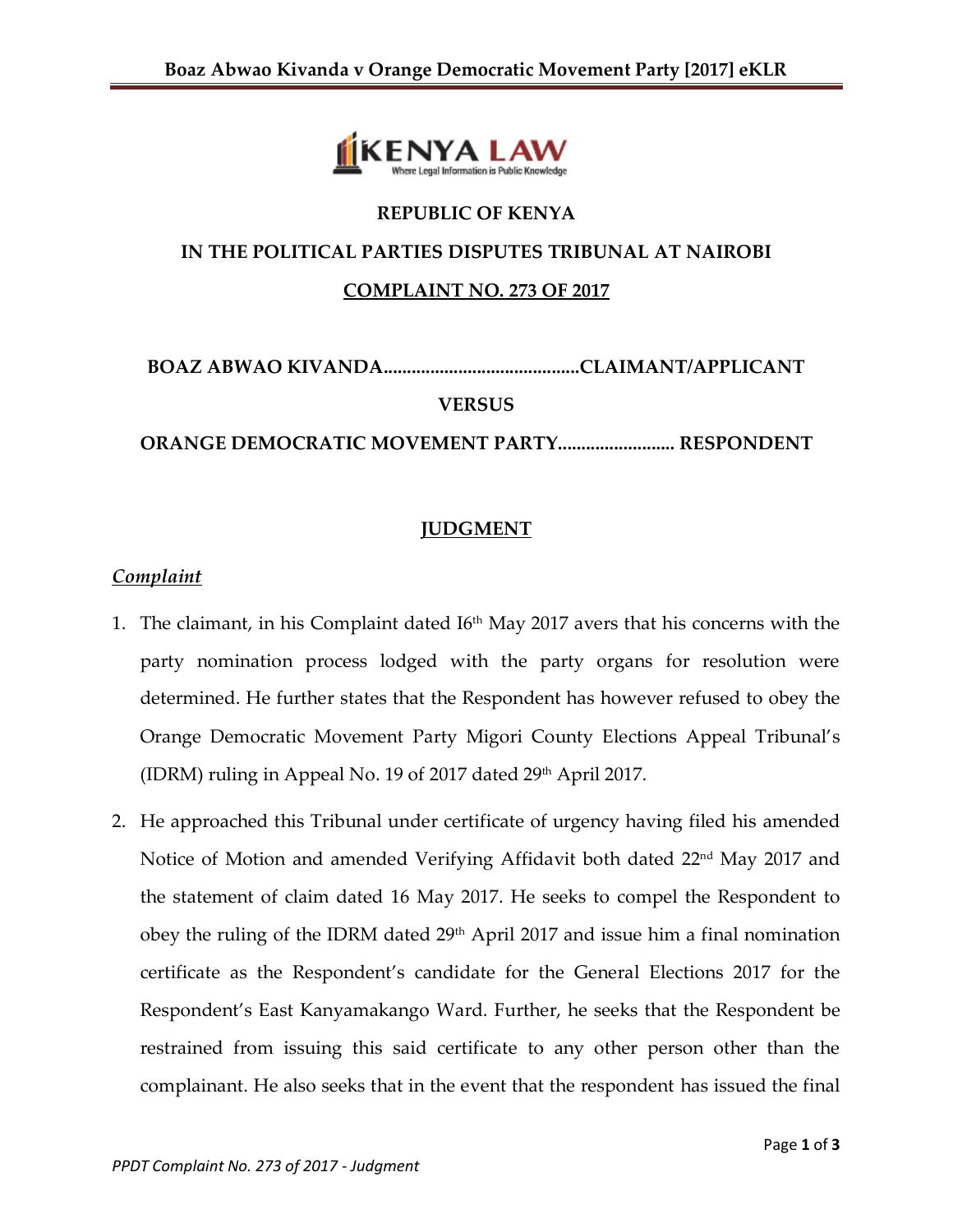

# **REPUBLIC OF KENYA IN THE POLITICAL PARTIES DISPUTES TRIBUNAL AT NAIROBI COMPLAINT NO. 273 OF 2017**

## **BOAZ ABWAO KIVANDA..........................................CLAIMANT/APPLICANT VERSUS**

**ORANGE DEMOCRATIC MOVEMENT PARTY......................... RESPONDENT**

## **JUDGMENT**

## *Complaint*

- 1. The claimant, in his Complaint dated  $16<sup>th</sup>$  May 2017 avers that his concerns with the party nomination process lodged with the party organs for resolution were determined. He further states that the Respondent has however refused to obey the Orange Democratic Movement Party Migori County Elections Appeal Tribunal's (IDRM) ruling in Appeal No. 19 of 2017 dated 29<sup>th</sup> April 2017.
- 2. He approached this Tribunal under certificate of urgency having filed his amended Notice of Motion and amended Verifying Affidavit both dated 22<sup>nd</sup> May 2017 and the statement of claim dated 16 May 2017. He seeks to compel the Respondent to obey the ruling of the IDRM dated 29<sup>th</sup> April 2017 and issue him a final nomination certificate as the Respondent's candidate for the General Elections 2017 for the Respondent's East Kanyamakango Ward. Further, he seeks that the Respondent be restrained from issuing this said certificate to any other person other than the complainant. He also seeks that in the event that the respondent has issued the final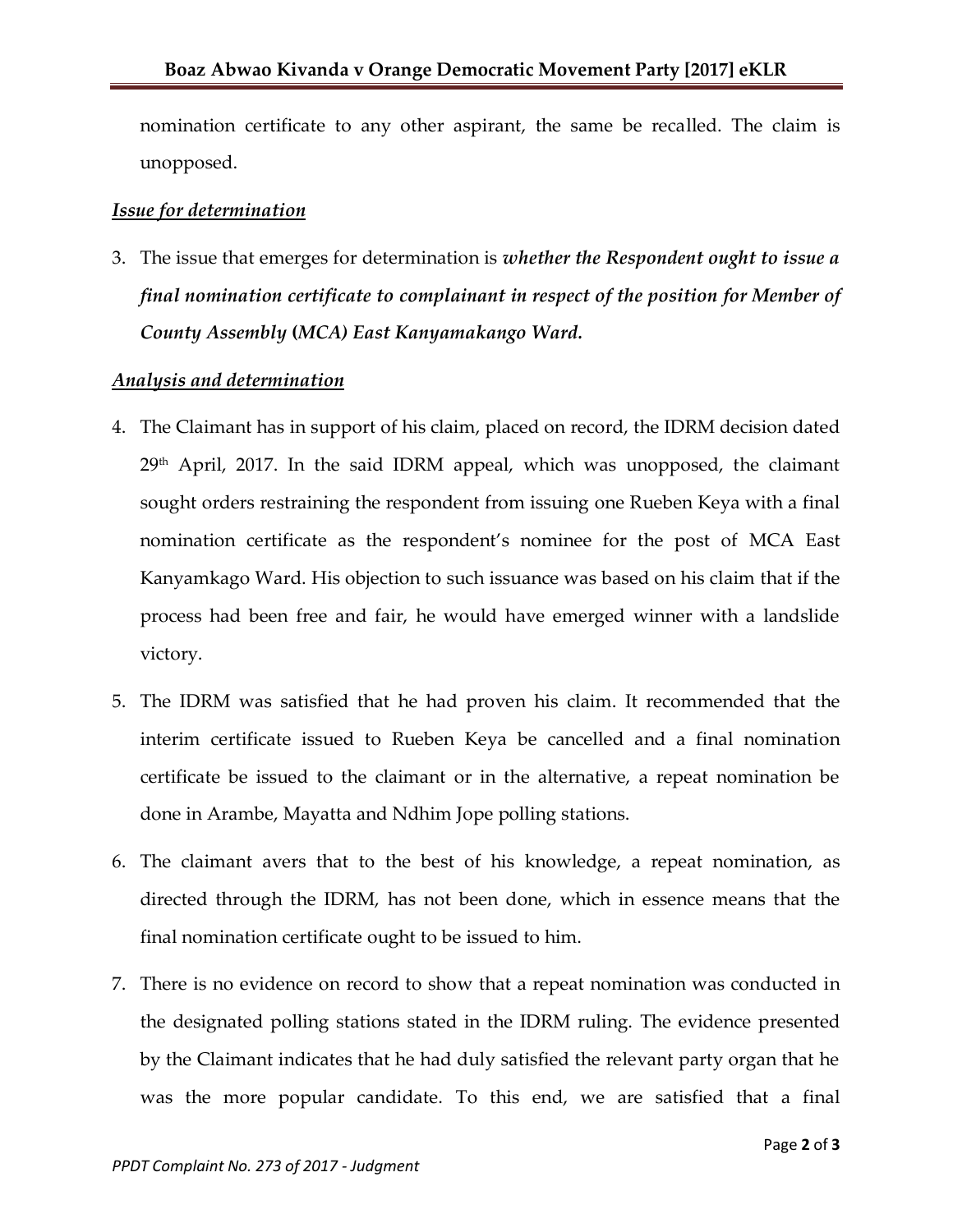nomination certificate to any other aspirant, the same be recalled. The claim is unopposed.

#### *Issue for determination*

3. The issue that emerges for determination is *whether the Respondent ought to issue a final nomination certificate to complainant in respect of the position for Member of County Assembly* **(***MCA) East Kanyamakango Ward.*

#### *Analysis and determination*

- 4. The Claimant has in support of his claim, placed on record, the IDRM decision dated  $29<sup>th</sup>$  April, 2017. In the said IDRM appeal, which was unopposed, the claimant sought orders restraining the respondent from issuing one Rueben Keya with a final nomination certificate as the respondent's nominee for the post of MCA East Kanyamkago Ward. His objection to such issuance was based on his claim that if the process had been free and fair, he would have emerged winner with a landslide victory.
- 5. The IDRM was satisfied that he had proven his claim. It recommended that the interim certificate issued to Rueben Keya be cancelled and a final nomination certificate be issued to the claimant or in the alternative, a repeat nomination be done in Arambe, Mayatta and Ndhim Jope polling stations.
- 6. The claimant avers that to the best of his knowledge, a repeat nomination, as directed through the IDRM, has not been done, which in essence means that the final nomination certificate ought to be issued to him.
- 7. There is no evidence on record to show that a repeat nomination was conducted in the designated polling stations stated in the IDRM ruling. The evidence presented by the Claimant indicates that he had duly satisfied the relevant party organ that he was the more popular candidate. To this end, we are satisfied that a final